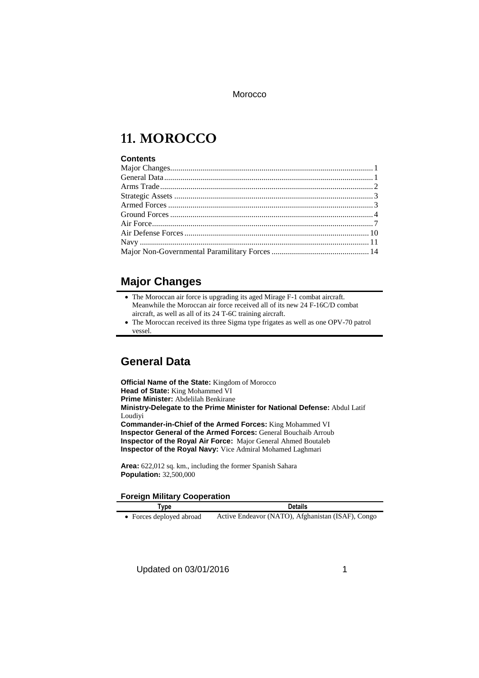# **11. MOROCCO**

#### **Contents**

### **Major Changes**

| $\bullet$ The Moroccan air force is upgrading its aged Mirage F-1 combat aircraft. |
|------------------------------------------------------------------------------------|
| Meanwhile the Moroccan air force received all of its new 24 F-16C/D combat         |
| aircraft, as well as all of its 24 T-6C training aircraft.                         |

 The Moroccan received its three Sigma type frigates as well as one OPV-70 patrol vessel.

### **General Data**

**Official Name of the State:** Kingdom of Morocco **Head of State:** King Mohammed VI **Prime Minister:** Abdelilah Benkirane **Ministry-Delegate to the Prime Minister for National Defense:** Abdul Latif Loudiyi **Commander-in-Chief of the Armed Forces:** King Mohammed VI **Inspector General of the Armed Forces:** General Bouchaib Arroub **Inspector of the Royal Air Force:** Major General Ahmed Boutaleb **Inspector of the Royal Navy:** Vice Admiral Mohamed Laghmari **Area:** 622,012 sq. km., including the former Spanish Sahara

#### **Foreign Military Cooperation Type Details**

**Population:** 32,500,000

Forces deployed abroad Active Endeavor (NATO), Afghanistan (ISAF), Congo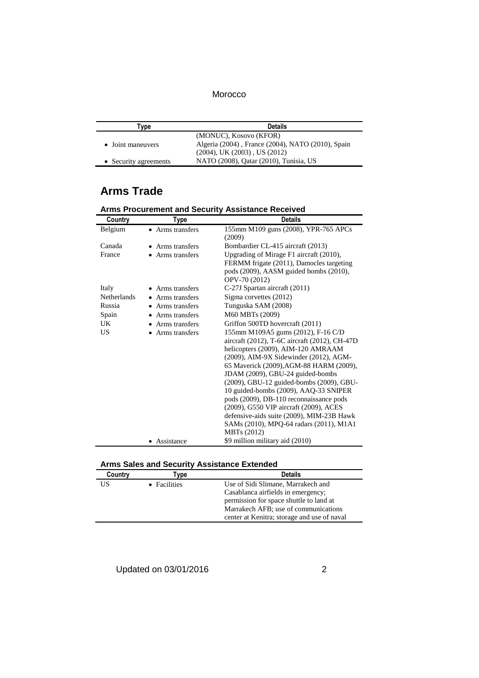| [vpe                  | <b>Details</b>                                    |
|-----------------------|---------------------------------------------------|
|                       | (MONUC), Kosovo (KFOR)                            |
| • Joint maneuvers     | Algeria (2004), France (2004), NATO (2010), Spain |
|                       | $(2004)$ , UK $(2003)$ , US $(2012)$              |
| • Security agreements | NATO (2008), Qatar (2010), Tunisia, US            |

# **Arms Trade**

| Country            | Type             | <b>Details</b>                                                |
|--------------------|------------------|---------------------------------------------------------------|
| Belgium            | • Arms transfers | 155mm M109 guns (2008), YPR-765 APCs<br>(2009)                |
| Canada             | • Arms transfers | Bombardier CL-415 aircraft (2013)                             |
| France             | • Arms transfers | Upgrading of Mirage F1 aircraft (2010),                       |
|                    |                  | FERMM frigate (2011), Damocles targeting                      |
|                    |                  | pods (2009), AASM guided bombs (2010),                        |
|                    |                  | OPV-70 (2012)                                                 |
| Italy              | Arms transfers   | C-27J Spartan aircraft (2011)                                 |
| <b>Netherlands</b> | • Arms transfers | Sigma corvettes (2012)                                        |
| Russia             | • Arms transfers | Tunguska SAM (2008)                                           |
| Spain              | Arms transfers   | M60 MBTs (2009)                                               |
| UK.                | Arms transfers   | Griffon 500TD hovercraft (2011)                               |
| <b>US</b>          | Arms transfers   | 155mm M109A5 gums (2012), F-16 C/D                            |
|                    |                  | aircraft (2012), T-6C aircraft (2012), CH-47D                 |
|                    |                  | helicopters (2009), AIM-120 AMRAAM                            |
|                    |                  | (2009), AIM-9X Sidewinder (2012), AGM-                        |
|                    |                  | 65 Maverick (2009), AGM-88 HARM (2009),                       |
|                    |                  | JDAM (2009), GBU-24 guided-bombs                              |
|                    |                  | (2009), GBU-12 guided-bombs (2009), GBU-                      |
|                    |                  | 10 guided-bombs (2009), AAQ-33 SNIPER                         |
|                    |                  | pods (2009), DB-110 reconnaissance pods                       |
|                    |                  | (2009), G550 VIP aircraft (2009), ACES                        |
|                    |                  | defensive-aids suite (2009), MIM-23B Hawk                     |
|                    |                  | SAMs (2010), MPQ-64 radars (2011), M1A1<br><b>MBTs</b> (2012) |
|                    | Assistance       | \$9 million military aid (2010)                               |
|                    |                  |                                                               |

| <b>Arms Procurement and Security Assistance Received</b> |  |
|----------------------------------------------------------|--|
|----------------------------------------------------------|--|

|  |  | <b>Arms Sales and Security Assistance Extended</b> |  |
|--|--|----------------------------------------------------|--|
|  |  |                                                    |  |

| Country | vpe          | <b>Details</b>                              |  |
|---------|--------------|---------------------------------------------|--|
| US      | • Facilities | Use of Sidi Slimane, Marrakech and          |  |
|         |              | Casablanca airfields in emergency;          |  |
|         |              | permission for space shuttle to land at     |  |
|         |              | Marrakech AFB; use of communications        |  |
|         |              | center at Kenitra; storage and use of naval |  |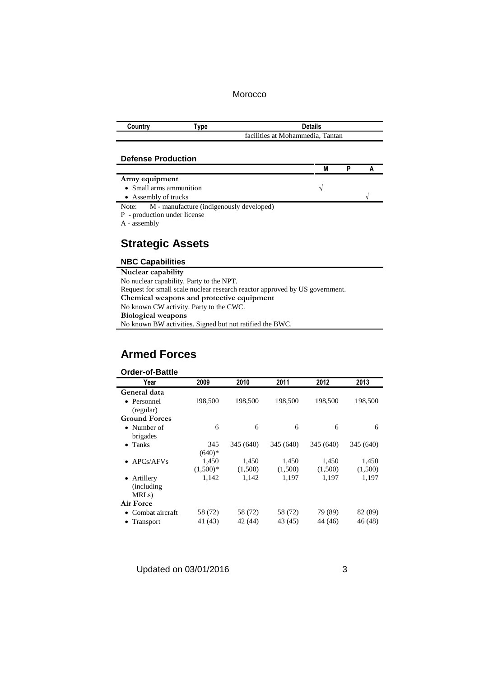| Countrv | vpe " | <b>Details</b>                   |
|---------|-------|----------------------------------|
|         |       | facilities at Mohammedia. Tantan |

#### **Defense Production**

| Army equipment                                 |  |  |
|------------------------------------------------|--|--|
| • Small arms ammunition                        |  |  |
| • Assembly of trucks                           |  |  |
| Note: M - manufacture (indigenously developed) |  |  |
| P - production under license                   |  |  |

A - assembly

## **Strategic Assets**

#### **NBC Capabilities**

**Nuclear capability** No nuclear capability. Party to the NPT. Request for small scale nuclear research reactor approved by US government. **Chemical weapons and protective equipment** No known CW activity. Party to the CWC. **Biological weapons** No known BW activities. Signed but not ratified the BWC.

### **Armed Forces**

### **Order-of-Battle**

 $\overline{a}$ 

| Year                     | 2009       | 2010      | 2011      | 2012      | 2013      |
|--------------------------|------------|-----------|-----------|-----------|-----------|
| General data             |            |           |           |           |           |
| • Personnel<br>(regular) | 198,500    | 198,500   | 198,500   | 198,500   | 198,500   |
| <b>Ground Forces</b>     |            |           |           |           |           |
| • Number of              | 6          | 6         | 6         | 6         | 6         |
| brigades                 |            |           |           |           |           |
| Tanks<br>$\bullet$       | 345        | 345 (640) | 345 (640) | 345 (640) | 345 (640) |
|                          | $(640)*$   |           |           |           |           |
| APCs/AFVs                | 1,450      | 1.450     | 1,450     | 1,450     | 1,450     |
|                          | $(1,500)*$ | (1,500)   | (1,500)   | (1,500)   | (1,500)   |
| Artillery                | 1,142      | 1,142     | 1,197     | 1,197     | 1,197     |
| (including)              |            |           |           |           |           |
| MRL <sub>s</sub> )       |            |           |           |           |           |
| Air Force                |            |           |           |           |           |
| • Combat aircraft        | 58 (72)    | 58 (72)   | 58 (72)   | 79 (89)   | 82 (89)   |
| • Transport              | 41 (43)    | 42 (44)   | 43 (45)   | 44 (46)   | 46 (48)   |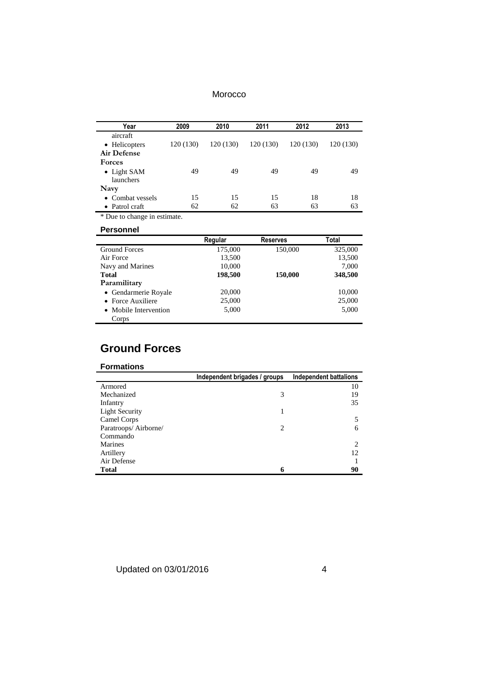| Year                                     | 2009      | 2010      | 2011      | 2012      | 2013      |
|------------------------------------------|-----------|-----------|-----------|-----------|-----------|
| aircraft<br>• Helicopters<br>Air Defense | 120 (130) | 120 (130) | 120 (130) | 120 (130) | 120 (130) |
| <b>Forces</b>                            |           |           |           |           |           |
| • Light SAM<br>launchers                 | 49        | 49        | 49        | 49        | 49        |
| Navy                                     |           |           |           |           |           |
| • Combat vessels                         | 15        | 15        | 15        | 18        | 18        |
| • Patrol craft                           | 62        | 62        | 63        | 63        | 63        |

\* Due to change in estimate.

#### **Personnel**

|                       | Regular | <b>Reserves</b> | Total   |
|-----------------------|---------|-----------------|---------|
| <b>Ground Forces</b>  | 175,000 | 150,000         | 325,000 |
| Air Force             | 13,500  |                 | 13,500  |
| Navy and Marines      | 10,000  |                 | 7.000   |
| <b>Total</b>          | 198,500 | 150,000         | 348,500 |
| Paramilitary          |         |                 |         |
| • Gendarmerie Royale  | 20,000  |                 | 10,000  |
| • Force Auxiliere     | 25,000  |                 | 25,000  |
| • Mobile Intervention | 5,000   |                 | 5,000   |
| Corps                 |         |                 |         |

## **Ground Forces**

#### **Formations**

|                       | Independent brigades / groups | Independent battalions |
|-----------------------|-------------------------------|------------------------|
| Armored               |                               | 10                     |
| Mechanized            | 3                             | 19                     |
| Infantry              |                               | 35                     |
| <b>Light Security</b> |                               |                        |
| Camel Corps           |                               |                        |
| Paratroops/Airborne/  | $\mathcal{D}_{\mathcal{L}}$   | h                      |
| Commando              |                               |                        |
| <b>Marines</b>        |                               | ∍                      |
| Artillery             |                               | 12                     |
| Air Defense           |                               |                        |
| Total                 | 6                             | 90                     |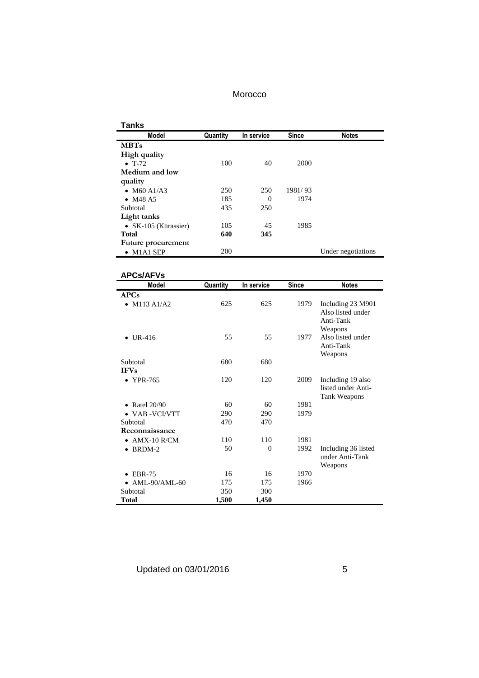| Tanks                |          |            |              |                    |
|----------------------|----------|------------|--------------|--------------------|
| Model                | Quantity | In service | <b>Since</b> | <b>Notes</b>       |
| <b>MBTs</b>          |          |            |              |                    |
| High quality         |          |            |              |                    |
| $\bullet$ T-72       | 100      | 40         | 2000         |                    |
| Medium and low       |          |            |              |                    |
| quality              |          |            |              |                    |
| • M60 A1/A3          | 250      | 250        | 1981/93      |                    |
| • $M48A5$            | 185      | $\Omega$   | 1974         |                    |
| Subtotal             | 435      | 250        |              |                    |
| Light tanks          |          |            |              |                    |
| • SK-105 (Kürassier) | 105      | 45         | 1985         |                    |
| <b>Total</b>         | 640      | 345        |              |                    |
| Future procurement   |          |            |              |                    |
| $\bullet$ M1A1 SEP   | 200      |            |              | Under negotiations |

| <b>APCs/AFVs</b>        |          |            |       |                                                                |
|-------------------------|----------|------------|-------|----------------------------------------------------------------|
| Model                   | Quantity | In service | Since | <b>Notes</b>                                                   |
| APCs                    |          |            |       |                                                                |
| • $M113 A1/A2$          | 625      | 625        | 1979  | Including 23 M901<br>Also listed under<br>Anti-Tank<br>Weapons |
| • UR-416                | 55       | 55         | 1977  | Also listed under<br>Anti-Tank<br>Weapons                      |
| Subtotal<br><b>IFVs</b> | 680      | 680        |       |                                                                |
| • YPR-765               | 120      | 120        | 2009  | Including 19 also<br>listed under Anti-<br>Tank Weapons        |
| • Ratel $20/90$         | 60       | 60         | 1981  |                                                                |
| $\bullet$ VAB -VCI/VTT  | 290      | 290        | 1979  |                                                                |
| Subtotal                | 470      | 470        |       |                                                                |
| Reconnaissance          |          |            |       |                                                                |
| $\bullet$ AMX-10 R/CM   | 110      | 110        | 1981  |                                                                |
| $\bullet$ BRDM-2        | 50       | $\Omega$   | 1992  | Including 36 listed<br>under Anti-Tank<br>Weapons              |
| <b>EBR-75</b>           | 16       | 16         | 1970  |                                                                |
| <b>AML-90/AML-60</b>    | 175      | 175        | 1966  |                                                                |
| Subtotal                | 350      | 300        |       |                                                                |
| Total                   | 1,500    | 1,450      |       |                                                                |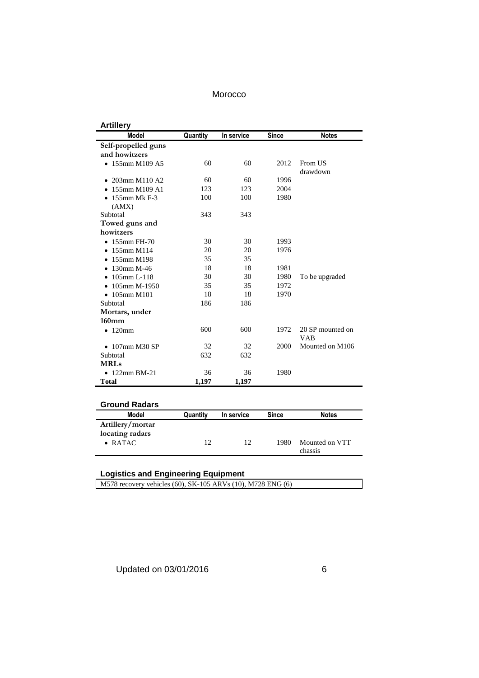| <b>Artillery</b>                |          |            |              |                                |
|---------------------------------|----------|------------|--------------|--------------------------------|
| <b>Model</b>                    | Quantity | In service | <b>Since</b> | <b>Notes</b>                   |
| Self-propelled guns             |          |            |              |                                |
| and howitzers                   |          |            |              |                                |
| $\bullet$ 155mm M109 A5         | 60       | 60         | 2012         | From US<br>drawdown            |
| 203mm M110 A2                   | 60       | 60         | 1996         |                                |
| 155mm M109 A1                   | 123      | 123        | 2004         |                                |
| $\bullet$ 155mm Mk F-3<br>(AMX) | 100      | 100        | 1980         |                                |
| Subtotal                        | 343      | 343        |              |                                |
| Towed guns and                  |          |            |              |                                |
| howitzers                       |          |            |              |                                |
| $\bullet$ 155mm FH-70           | 30       | 30         | 1993         |                                |
| 155mm M114                      | 20       | 20         | 1976         |                                |
| 155mm M198                      | 35       | 35         |              |                                |
| $130$ mm M-46<br>$\bullet$      | 18       | 18         | 1981         |                                |
| $105$ mm L $-118$               | 30       | 30         | 1980         | To be upgraded                 |
| 105mm M-1950                    | 35       | 35         | 1972         |                                |
| $\bullet$ 105mm M101            | 18       | 18         | 1970         |                                |
| Subtotal                        | 186      | 186        |              |                                |
| Mortars, under                  |          |            |              |                                |
| $160$ mm                        |          |            |              |                                |
| $120$ mm<br>$\bullet$           | 600      | 600        | 1972         | 20 SP mounted on<br><b>VAB</b> |
| $\bullet$ 107mm M30 SP          | 32       | 32         | 2000         | Mounted on M106                |
| Subtotal                        | 632      | 632        |              |                                |
| <b>MRLs</b>                     |          |            |              |                                |
| $\bullet$ 122mm BM-21           | 36       | 36         | 1980         |                                |
| <b>Total</b>                    | 1,197    | 1,197      |              |                                |
| <b>Ground Radars</b>            |          |            |              |                                |

| Model                                                  | Quantity | In service | <b>Since</b> | <b>Notes</b>   |
|--------------------------------------------------------|----------|------------|--------------|----------------|
| Artillery/mortar<br>locating radars<br>$\bullet$ RATAC | 12       | 12         | 1980         | Mounted on VTT |
|                                                        |          |            |              | chassis        |

#### **Logistics and Engineering Equipment**

M578 recovery vehicles (60), SK-105 ARVs (10), M728 ENG (6)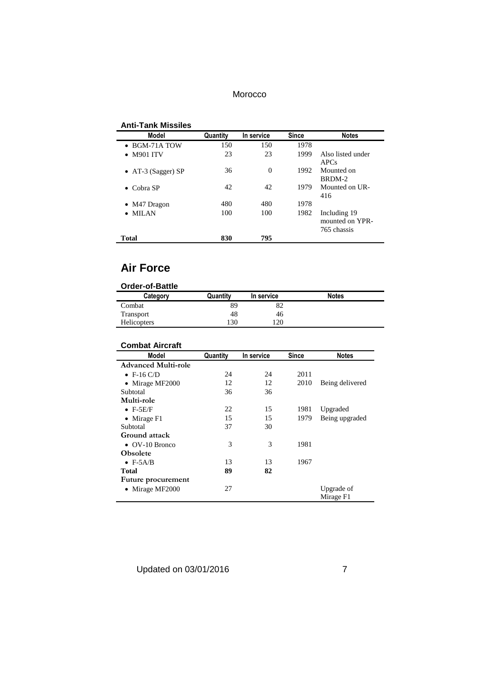#### **Anti-Tank Missiles**

| <b>Model</b>                 | Quantity | In service | <b>Since</b> | <b>Notes</b>                                   |
|------------------------------|----------|------------|--------------|------------------------------------------------|
| $\bullet$ BGM-71A TOW        | 150      | 150        | 1978         |                                                |
| <b>M901 ITV</b><br>$\bullet$ | 23       | 23         | 1999         | Also listed under<br><b>APCs</b>               |
| • AT-3 (Sagger) SP           | 36       | $\theta$   | 1992         | Mounted on<br>BRDM-2                           |
| $\bullet$ Cobra SP           | 42       | 42         | 1979         | Mounted on UR-<br>416                          |
| $\bullet$ M47 Dragon         | 480      | 480        | 1978         |                                                |
| <b>MILAN</b>                 | 100      | 100        | 1982         | Including 19<br>mounted on YPR-<br>765 chassis |
| Total                        | 830      | 795        |              |                                                |

### **Air Force**

#### **Order-of-Battle**

| Category           | Quantity | In service | <b>Notes</b> |
|--------------------|----------|------------|--------------|
| Combat             | 89       | ٥۷         |              |
| Transport          | 48       | 46         |              |
| <b>Helicopters</b> | 130      | 120        |              |

## **Combat Aircraft**

| Model                      | Quantity | In service | <b>Since</b> | <b>Notes</b>            |
|----------------------------|----------|------------|--------------|-------------------------|
| <b>Advanced Multi-role</b> |          |            |              |                         |
| $\bullet$ F-16 C/D         | 24       | 24         | 2011         |                         |
| • Mirage MF2000            | 12       | 12         | 2010         | Being delivered         |
| Subtotal                   | 36       | 36         |              |                         |
| Multi-role                 |          |            |              |                         |
| $\bullet$ F-5E/F           | 22       | 15         | 1981         | Upgraded                |
| • Mirage $F1$              | 15       | 15         | 1979         | Being upgraded          |
| Subtotal                   | 37       | 30         |              |                         |
| Ground attack              |          |            |              |                         |
| $\bullet$ OV-10 Bronco     | 3        | 3          | 1981         |                         |
| <b>Obsolete</b>            |          |            |              |                         |
| $\bullet$ F-5A/B           | 13       | 13         | 1967         |                         |
| Total                      | 89       | 82         |              |                         |
| Future procurement         |          |            |              |                         |
| • Mirage MF2000            | 27       |            |              | Upgrade of<br>Mirage F1 |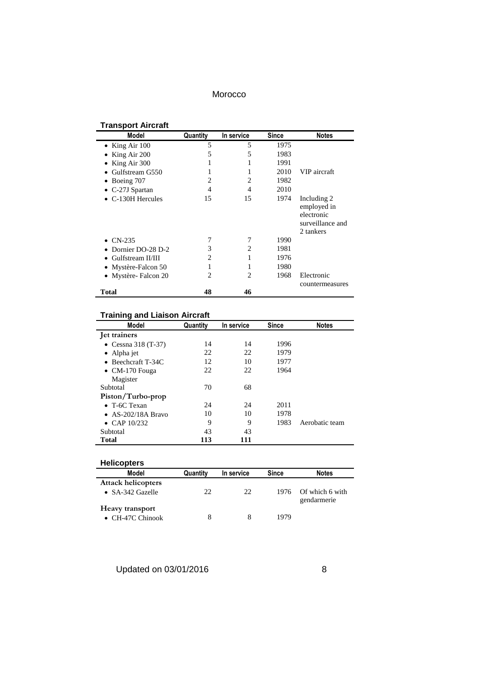# **Transport Aircraft**

| Model                     | Quantity | In service     | <b>Since</b> | <b>Notes</b>                                                              |
|---------------------------|----------|----------------|--------------|---------------------------------------------------------------------------|
| • King Air $100$          | 5        | 5              | 1975         |                                                                           |
| King Air 200<br>٠         | 5        | 5              | 1983         |                                                                           |
| King Air 300<br>٠         |          |                | 1991         |                                                                           |
| Gulfstream G550           |          |                | 2010         | VIP aircraft                                                              |
| $\bullet$ Boeing 707      | 2        | $\overline{c}$ | 1982         |                                                                           |
| $\bullet$ C-27J Spartan   | 4        | 4              | 2010         |                                                                           |
| $\bullet$ C-130H Hercules | 15       | 15             | 1974         | Including 2<br>employed in<br>electronic<br>surveillance and<br>2 tankers |
| $\bullet$ CN-235          | 7        |                | 1990         |                                                                           |
| Dornier DO-28 D-2         | 3        | 2              | 1981         |                                                                           |
| Gulfstream II/III         | 2        |                | 1976         |                                                                           |
| Mystère-Falcon 50         |          |                | 1980         |                                                                           |
| • Mystère- Falcon 20      | 2        | $\overline{c}$ | 1968         | Electronic<br>countermeasures                                             |
| Total                     | 48       | 46             |              |                                                                           |

### **Training and Liaison Aircraft**

| Training and Liaison Aircrait |          |            |              |                |
|-------------------------------|----------|------------|--------------|----------------|
| Model                         | Quantity | In service | <b>Since</b> | <b>Notes</b>   |
| let trainers                  |          |            |              |                |
| • Cessna 318 $(T-37)$         | 14       | 14         | 1996         |                |
| • Alpha jet                   | 22       | 22         | 1979         |                |
| • Beechcraft $T-34C$          | 12       | 10         | 1977         |                |
| $\bullet$ CM-170 Fouga        | 22       | 22         | 1964         |                |
| Magister                      |          |            |              |                |
| Subtotal                      | 70       | 68         |              |                |
| Piston/Turbo-prop             |          |            |              |                |
| $\bullet$ T-6C Texan          | 24       | 24         | 2011         |                |
| $\bullet$ AS-202/18A Bravo    | 10       | 10         | 1978         |                |
| • CAP $10/232$                | 9        | 9          | 1983         | Aerobatic team |
| Subtotal                      | 43       | 43         |              |                |
| Total                         | 113      | 111        |              |                |

| <b>Helicopters</b>                                    |          |            |       |                                |
|-------------------------------------------------------|----------|------------|-------|--------------------------------|
| Model                                                 | Quantity | In service | Since | <b>Notes</b>                   |
| <b>Attack helicopters</b><br>$\bullet$ SA-342 Gazelle | 22       | 22         | 1976  | Of which 6 with<br>gendarmerie |
| Heavy transport<br>$\bullet$ CH-47C Chinook           |          | 8          | 1979  |                                |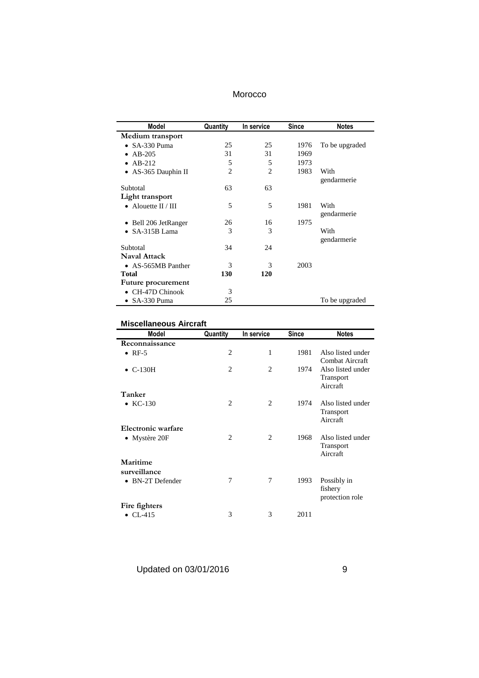|  | Morocco |
|--|---------|
|--|---------|

| Model                 | Quantity       | In service | Since | <b>Notes</b>   |
|-----------------------|----------------|------------|-------|----------------|
| Medium transport      |                |            |       |                |
| $\bullet$ SA-330 Puma | 25             | 25         | 1976  | To be upgraded |
| AB-205                | 31             | 31         | 1969  |                |
| $AB-212$<br>$\bullet$ | 5              | 5          | 1973  |                |
| • AS-365 Dauphin II   | $\overline{c}$ | 2          | 1983  | With           |
|                       |                |            |       | gendarmerie    |
| Subtotal              | 63             | 63         |       |                |
| Light transport       |                |            |       |                |
| • Alouette $II / III$ | 5              | 5          | 1981  | With           |
|                       |                |            |       | gendarmerie    |
| Bell 206 JetRanger    | 26             | 16         | 1975  |                |
| SA-315B Lama          | 3              | 3          |       | With           |
|                       |                |            |       | gendarmerie    |
| Subtotal              | 34             | 24         |       |                |
| <b>Naval Attack</b>   |                |            |       |                |
| • AS-565MB Panther    | 3              | 3          | 2003  |                |
| Total                 | 130            | 120        |       |                |
| Future procurement    |                |            |       |                |
| CH-47D Chinook        | 3              |            |       |                |
| SA-330 Puma           | 25             |            |       | To be upgraded |

# **Miscellaneous Aircraft**

| <b>Model</b>             | Quantity       | In service     | <b>Since</b> | <b>Notes</b>                               |
|--------------------------|----------------|----------------|--------------|--------------------------------------------|
| Reconnaissance           |                |                |              |                                            |
| $\bullet$ RF-5           | 2              | 1              | 1981         | Also listed under<br>Combat Aircraft       |
| $\bullet$ C-130H         | $\overline{c}$ | $\overline{c}$ | 1974         | Also listed under<br>Transport<br>Aircraft |
| Tanker                   |                |                |              |                                            |
| $\bullet$ KC-130         | $\overline{c}$ | 2              | 1974         | Also listed under<br>Transport<br>Aircraft |
| Electronic warfare       |                |                |              |                                            |
| • Mystère $20F$          | $\overline{c}$ | $\overline{c}$ | 1968         | Also listed under<br>Transport<br>Aircraft |
| Maritime<br>surveillance |                |                |              |                                            |
| • BN-2T Defender         | 7              | 7              | 1993         | Possibly in<br>fishery<br>protection role  |
| Fire fighters            |                |                |              |                                            |
| $\bullet$ CL-415         | 3              | 3              | 2011         |                                            |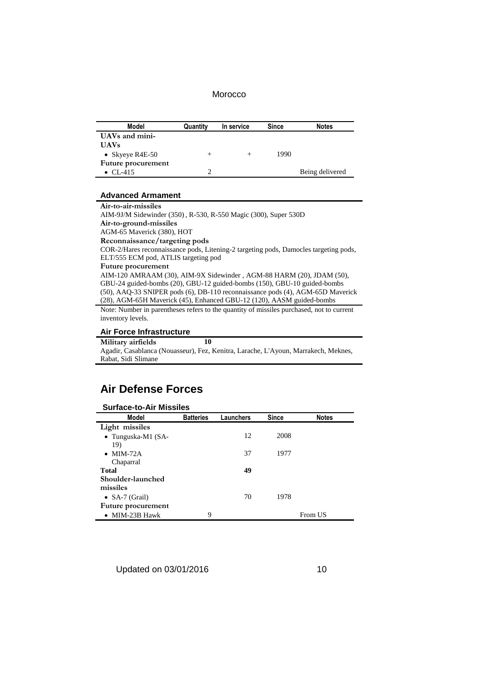| Model              | Quantity | In service | <b>Since</b> | <b>Notes</b>    |
|--------------------|----------|------------|--------------|-----------------|
| UAVs and mini-     |          |            |              |                 |
| <b>UAVs</b>        |          |            |              |                 |
| • Skyeye R4E-50    | ᆂ        |            | 1990         |                 |
| Future procurement |          |            |              |                 |
| • $CL-415$         |          |            |              | Being delivered |

#### **Advanced Armament**

**Air-to-air-missiles** AIM-9J/M Sidewinder (350), R-530, R-550 Magic (300), Super 530D **Air-to-ground-missiles** AGM-65 Maverick (380), HOT **Reconnaissance/targeting pods** COR-2/Hares reconnaissance pods, Litening-2 targeting pods, Damocles targeting pods, ELT/555 ECM pod, ATLIS targeting pod **Future procurement** AIM-120 AMRAAM (30), AIM-9X Sidewinder , AGM-88 HARM (20), JDAM (50), GBU-24 guided-bombs (20), GBU-12 guided-bombs (150), GBU-10 guided-bombs (50), AAQ-33 SNIPER pods (6), DB-110 reconnaissance pods (4), AGM-65D Maverick (28), AGM-65H Maverick (45), Enhanced GBU-12 (120), AASM guided-bombs

Note: Number in parentheses refers to the quantity of missiles purchased, not to current inventory levels.

#### **Air Force Infrastructure**

**Military airfields 10** Agadir, Casablanca (Nouasseur), Fez, Kenitra, Larache, L'Ayoun, Marrakech, Meknes, Rabat, Sidi Slimane

### **Air Defense Forces**

| <b>Surface-to-Air Missiles</b> |                  |           |              |              |  |  |
|--------------------------------|------------------|-----------|--------------|--------------|--|--|
| Model                          | <b>Batteries</b> | Launchers | <b>Since</b> | <b>Notes</b> |  |  |
| Light missiles                 |                  |           |              |              |  |  |
| • Tunguska-M1 $(SA-$           |                  | 12        | 2008         |              |  |  |
| 19)                            |                  |           |              |              |  |  |
| $\bullet$ MIM-72A              |                  | 37        | 1977         |              |  |  |
| Chaparral                      |                  |           |              |              |  |  |
| <b>Total</b>                   |                  | 49        |              |              |  |  |
| Shoulder-launched              |                  |           |              |              |  |  |
| missiles                       |                  |           |              |              |  |  |
| • $SA-7$ (Grail)               |                  | 70        | 1978         |              |  |  |
| Future procurement             |                  |           |              |              |  |  |
| $\bullet$ MIM-23B Hawk         | 9                |           |              | From US      |  |  |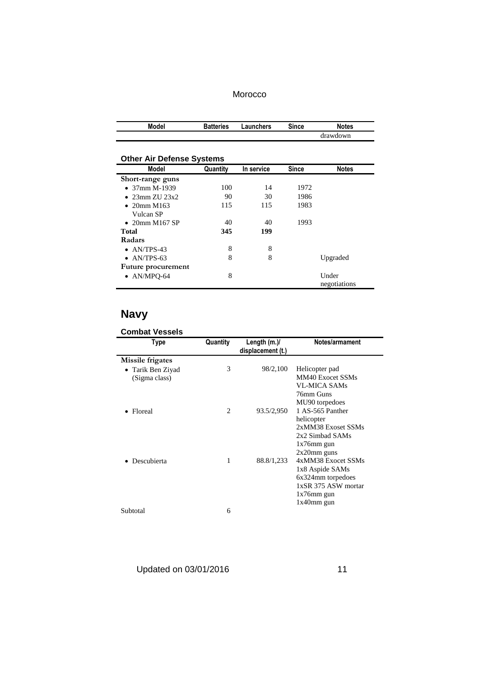| Model | <b>Batteries</b> | Launchers | Since | Notes    |
|-------|------------------|-----------|-------|----------|
|       |                  |           |       | drawdown |

# **Other Air Defense Systems**

| Model                  | Quantity | In service | <b>Since</b> | <b>Notes</b>          |
|------------------------|----------|------------|--------------|-----------------------|
| Short-range guns       |          |            |              |                       |
| $\bullet$ 37mm M-1939  | 100      | 14         | 1972         |                       |
| $\bullet$ 23mm ZU 23x2 | 90       | 30         | 1986         |                       |
| • 20mm M163            | 115      | 115        | 1983         |                       |
| Vulcan SP              |          |            |              |                       |
| $\bullet$ 20mm M167 SP | 40       | 40         | 1993         |                       |
| Total                  | 345      | 199        |              |                       |
| Radars                 |          |            |              |                       |
| $\bullet$ AN/TPS-43    | 8        | 8          |              |                       |
| • $AN/TPS-63$          | 8        | 8          |              | Upgraded              |
| Future procurement     |          |            |              |                       |
| $\bullet$ AN/MPO-64    | 8        |            |              | Under<br>negotiations |

## **Navy**

# **Combat Vessels**

| Type              | Quantity | Length $(m.)/$<br>displacement (t.) | Notes/armament      |
|-------------------|----------|-------------------------------------|---------------------|
| Missile frigates  |          |                                     |                     |
| • Tarik Ben Ziyad | 3        | 98/2,100                            | Helicopter pad      |
| (Sigma class)     |          |                                     | MM40 Exocet SSMs    |
|                   |          |                                     | VL-MICA SAMs        |
|                   |          |                                     | 76mm Guns           |
|                   |          |                                     | MU90 torpedoes      |
| Floreal           | 2        | 93.5/2,950                          | 1 AS-565 Panther    |
|                   |          |                                     | helicopter          |
|                   |          |                                     | 2xMM38 Exoset SSMs  |
|                   |          |                                     | 2x2 Simbad SAMs     |
|                   |          |                                     | $1x76$ mm gun       |
|                   |          |                                     | $2x20$ mm guns      |
| Descubierta       | 1        | 88.8/1,233                          | 4xMM38 Exocet SSMs  |
|                   |          |                                     | 1x8 Aspide SAMs     |
|                   |          |                                     | 6x324mm torpedoes   |
|                   |          |                                     | 1xSR 375 ASW mortar |
|                   |          |                                     | $1x76$ mm gun       |
|                   |          |                                     | $1x40$ mm gun       |
| Subtotal          | 6        |                                     |                     |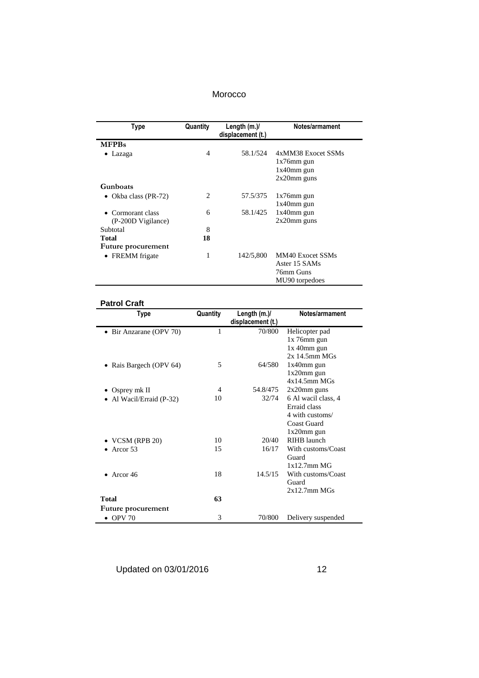| Type                 | Quantity                    | Length $(m.)/$<br>displacement (t.) | Notes/armament     |
|----------------------|-----------------------------|-------------------------------------|--------------------|
| <b>MFPBs</b>         |                             |                                     |                    |
| Lazaga               | 4                           | 58.1/524                            | 4xMM38 Exocet SSMs |
|                      |                             |                                     | $1x76$ mm gun      |
|                      |                             |                                     | $1x40$ mm gun      |
|                      |                             |                                     | $2x20$ mm guns     |
| Gunboats             |                             |                                     |                    |
| Okba class (PR-72)   | $\mathcal{D}_{\mathcal{L}}$ | 57.5/375                            | $1x76$ mm gun      |
|                      |                             |                                     | $1x40$ mm gun      |
| Cormorant class      | 6                           | 58.1/425                            | $1x40$ mm gun      |
| (P-200D Vigilance)   |                             |                                     | $2x20$ mm guns     |
| Subtotal             | 8                           |                                     |                    |
| <b>Total</b>         | 18                          |                                     |                    |
| Future procurement   |                             |                                     |                    |
| <b>FREMM</b> frigate | 1                           | 142/5,800                           | MM40 Exocet SSMs   |
|                      |                             |                                     | Aster 15 SAMs      |
|                      |                             |                                     | 76mm Guns          |
|                      |                             |                                     | MU90 torpedoes     |

#### **Patrol Craft**

| Type                                | Quantity | Length (m.)/      | Notes/armament      |
|-------------------------------------|----------|-------------------|---------------------|
|                                     |          | displacement (t.) |                     |
| • Bir Anzarane (OPV 70)             | 1        | 70/800            | Helicopter pad      |
|                                     |          |                   | $1x$ 76mm gun       |
|                                     |          |                   | $1x$ 40mm gun       |
|                                     |          |                   | $2x$ 14.5mm MGs     |
| • Rais Bargech (OPV 64)             | 5        | 64/580            | 1x40mm gun          |
|                                     |          |                   | $1x20$ mm gun       |
|                                     |          |                   | $4x14.5mm$ MGs      |
| • Osprey mk II                      | 4        | 54.8/475          | $2x20$ mm guns      |
| Al Wacil/Erraid (P-32)              | 10       | 32/74             | 6 Al wacil class, 4 |
|                                     |          |                   | Erraid class        |
|                                     |          |                   | 4 with customs/     |
|                                     |          |                   | Coast Guard         |
|                                     |          |                   | $1x20$ mm gun       |
| $\blacktriangleright$ VCSM (RPB 20) | 10       | 20/40             | RIHB launch         |
| Arcor 53                            | 15       | 16/17             | With customs/Coast  |
|                                     |          |                   | Guard               |
|                                     |          |                   | $1x12.7mm$ MG       |
| Arcor 46                            | 18       | 14.5/15           | With customs/Coast  |
|                                     |          |                   | Guard               |
|                                     |          |                   | $2x12.7mm$ MGs      |
| <b>Total</b>                        | 63       |                   |                     |
| Future procurement                  |          |                   |                     |
| $\bullet$ OPV 70                    | 3        | 70/800            | Delivery suspended  |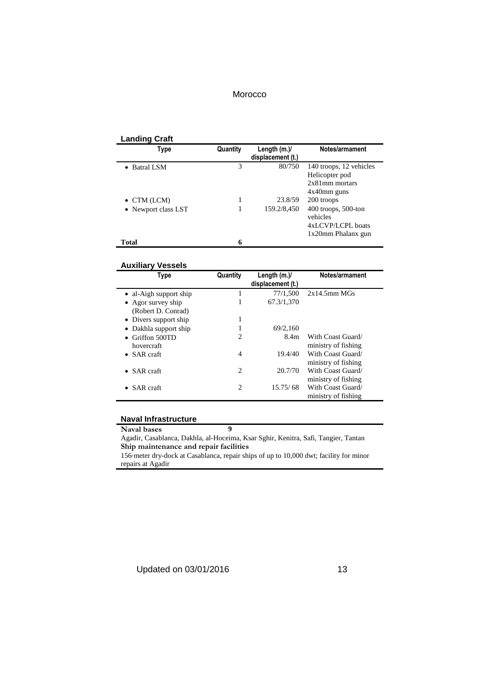#### **Landing Craft**

| Type                | Quantity | Length $(m.)/$<br>displacement (t.) | Notes/armament                                                                   |
|---------------------|----------|-------------------------------------|----------------------------------------------------------------------------------|
| • Batral LSM        | 3        | 80/750                              | 140 troops, 12 vehicles<br>Helicopter pod<br>$2x81$ mm mortars<br>$4x40$ mm guns |
| $\bullet$ CTM (LCM) |          | 23.8/59                             | 200 troops                                                                       |
| • Newport class LST |          | 159.2/8,450                         | $400$ troops, 500-ton<br>vehicles<br>4xLCVP/LCPL boats<br>1x20mm Phalanx gun     |
| Total               | 6        |                                     |                                                                                  |

#### **Auxiliary Vessels**

| Type                    | Quantity       | Length $(m.)/$<br>displacement (t.) | Notes/armament      |
|-------------------------|----------------|-------------------------------------|---------------------|
| • al-Aigh support ship  |                | 77/1,500                            | 2x14.5mm MGs        |
| • Agor survey ship      | 1              | 67.3/1,370                          |                     |
| (Robert D. Conrad)      |                |                                     |                     |
| • Divers support ship   | 1              |                                     |                     |
| • Dakhla support ship   |                | 69/2,160                            |                     |
| $\bullet$ Griffon 500TD | 2              | 8.4m                                | With Coast Guard/   |
| hovercraft              |                |                                     | ministry of fishing |
| $\bullet$ SAR craft     | 4              | 19.4/40                             | With Coast Guard/   |
|                         |                |                                     | ministry of fishing |
| SAR craft               | $\overline{c}$ | 20.7/70                             | With Coast Guard/   |
|                         |                |                                     | ministry of fishing |
| • $SAR \, \text{craft}$ | 2              | 15.75/68                            | With Coast Guard/   |
|                         |                |                                     | ministry of fishing |

#### **Naval Infrastructure**

**Naval bases 9** Agadir, Casablanca, Dakhla, al-Hoceima, Ksar Sghir, Kenitra, Safi, Tangier, Tantan **Ship maintenance and repair facilities**

156-meter dry-dock at Casablanca, repair ships of up to 10,000 dwt; facility for minor repairs at Agadir